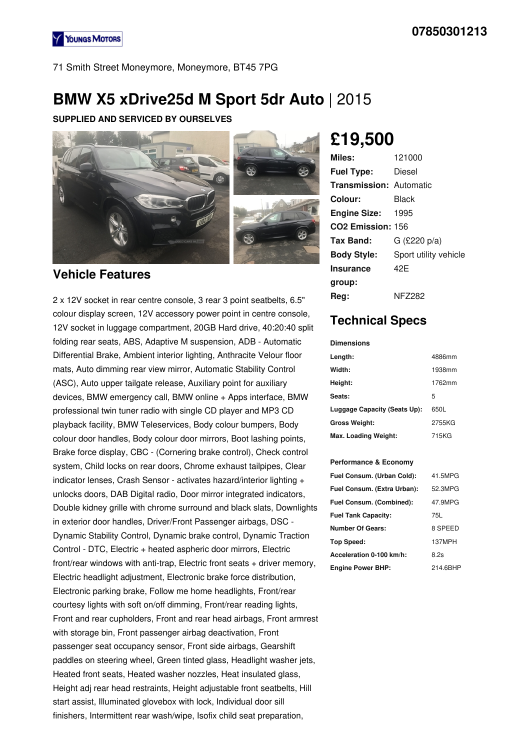

71 Smith Street Moneymore, Moneymore, BT45 7PG

# **BMW X5 xDrive25d M Sport 5dr Auto** | 2015

### **SUPPLIED AND SERVICED BY OURSELVES**



### **Vehicle Features**

2 x 12V socket in rear centre console, 3 rear 3 point seatbelts, 6.5" colour display screen, 12V accessory power point in centre console, 12V socket in luggage compartment, 20GB Hard drive, 40:20:40 split folding rear seats, ABS, Adaptive M suspension, ADB - Automatic Differential Brake, Ambient interior lighting, Anthracite Velour floor mats, Auto dimming rear view mirror, Automatic Stability Control (ASC), Auto upper tailgate release, Auxiliary point for auxiliary devices, BMW emergency call, BMW online + Apps interface, BMW professional twin tuner radio with single CD player and MP3 CD playback facility, BMW Teleservices, Body colour bumpers, Body colour door handles, Body colour door mirrors, Boot lashing points, Brake force display, CBC - (Cornering brake control), Check control system, Child locks on rear doors, Chrome exhaust tailpipes, Clear indicator lenses, Crash Sensor - activates hazard/interior lighting + unlocks doors, DAB Digital radio, Door mirror integrated indicators, Double kidney grille with chrome surround and black slats, Downlights in exterior door handles, Driver/Front Passenger airbags, DSC - Dynamic Stability Control, Dynamic brake control, Dynamic Traction Control - DTC, Electric + heated aspheric door mirrors, Electric front/rear windows with anti-trap, Electric front seats + driver memory, Electric headlight adjustment, Electronic brake force distribution, Electronic parking brake, Follow me home headlights, Front/rear courtesy lights with soft on/off dimming, Front/rear reading lights, Front and rear cupholders, Front and rear head airbags, Front armrest with storage bin, Front passenger airbag deactivation, Front passenger seat occupancy sensor, Front side airbags, Gearshift paddles on steering wheel, Green tinted glass, Headlight washer jets, Heated front seats, Heated washer nozzles, Heat insulated glass, Height adj rear head restraints, Height adjustable front seatbelts, Hill start assist, Illuminated glovebox with lock, Individual door sill finishers, Intermittent rear wash/wipe, Isofix child seat preparation,

# **£19,500**

| Miles:                         | 121000                |
|--------------------------------|-----------------------|
| <b>Fuel Type:</b>              | Diesel                |
| <b>Transmission: Automatic</b> |                       |
| Colour:                        | Black                 |
| <b>Engine Size: 1995</b>       |                       |
| CO <sub>2</sub> Emission: 156  |                       |
| Tax Band:                      | $G$ (£220 p/a)        |
| <b>Body Style:</b>             | Sport utility vehicle |
| <b>Insurance</b>               | 42F                   |
| group:                         |                       |
| Reg:                           | <b>NFZ282</b>         |

## **Technical Specs**

#### **Dimensions**

| Length:                      | 4886mm |
|------------------------------|--------|
| Width:                       | 1938mm |
| Height:                      | 1762mm |
| Seats:                       | 5      |
| Luggage Capacity (Seats Up): | 650L   |
| <b>Gross Weight:</b>         | 2755KG |
| Max. Loading Weight:         | 715KG  |

#### **Performance & Economy**

| Fuel Consum. (Urban Cold):  | 41.5MPG  |
|-----------------------------|----------|
| Fuel Consum. (Extra Urban): | 52.3MPG  |
| Fuel Consum. (Combined):    | 47.9MPG  |
| <b>Fuel Tank Capacity:</b>  | 75L      |
| Number Of Gears:            | 8 SPEED  |
| <b>Top Speed:</b>           | 137MPH   |
| Acceleration 0-100 km/h:    | 8.2s     |
| <b>Engine Power BHP:</b>    | 214.6BHP |